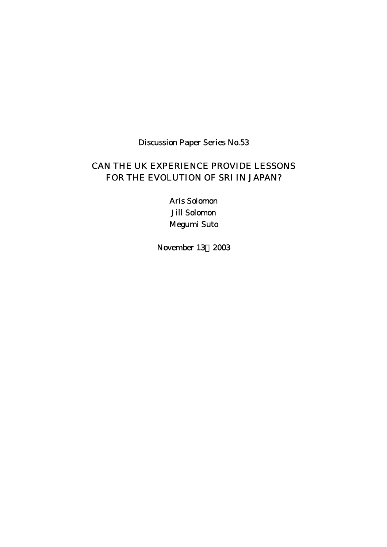Discussion Paper Series No.53

# CAN THE UK EXPERIENCE PROVIDE LESSONS FOR THE EVOLUTION OF SRI IN JAPAN?

Aris Solomon Jill Solomon Megumi Suto

November 13,2003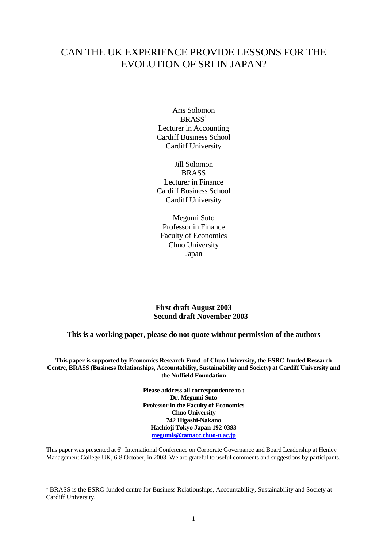# CAN THE UK EXPERIENCE PROVIDE LESSONS FOR THE EVOLUTION OF SRI IN JAPAN?

Aris Solomon  $RRASS<sup>1</sup>$ Lecturer in Accounting Cardiff Business School Cardiff University

Jill Solomon BRASS Lecturer in Finance Cardiff Business School Cardiff University

Megumi Suto Professor in Finance Faculty of Economics Chuo University Japan

**First draft August 2003 Second draft November 2003** 

#### **This is a working paper, please do not quote without permission of the authors**

**This paper is supported by Economics Research Fund of Chuo University, the ESRC-funded Research Centre, BRASS (Business Relationships, Accountability, Sustainability and Society) at Cardiff University and the Nuffield Foundation**

> **Please address all correspondence to : Dr. Megumi Suto Professor in the Faculty of Economics Chuo University 742 Higashi-Nakano Hachioji Tokyo Japan 192-0393 megumis@tamacc.chuo-u.ac.jp**

This paper was presented at 6<sup>th</sup> International Conference on Corporate Governance and Board Leadership at Henley Management College UK, 6-8 October, in 2003. We are grateful to useful comments and suggestions by participants.

<sup>&</sup>lt;sup>1</sup> BRASS is the ESRC-funded centre for Business Relationships, Accountability, Sustainability and Society at Cardiff University.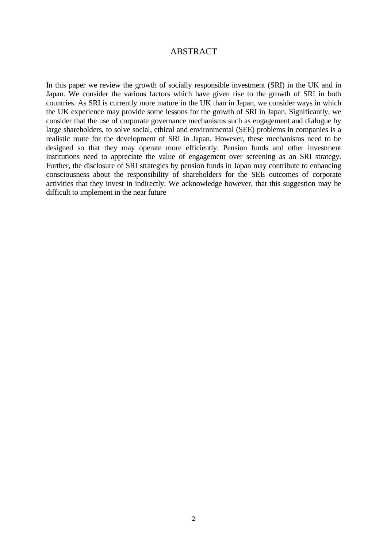## ABSTRACT

In this paper we review the growth of socially responsible investment (SRI) in the UK and in Japan. We consider the various factors which have given rise to the growth of SRI in both countries. As SRI is currently more mature in the UK than in Japan, we consider ways in which the UK experience may provide some lessons for the growth of SRI in Japan. Significantly, we consider that the use of corporate governance mechanisms such as engagement and dialogue by large shareholders, to solve social, ethical and environmental (SEE) problems in companies is a realistic route for the development of SRI in Japan. However, these mechanisms need to be designed so that they may operate more efficiently. Pension funds and other investment institutions need to appreciate the value of engagement over screening as an SRI strategy. Further, the disclosure of SRI strategies by pension funds in Japan may contribute to enhancing consciousness about the responsibility of shareholders for the SEE outcomes of corporate activities that they invest in indirectly. We acknowledge however, that this suggestion may be difficult to implement in the near future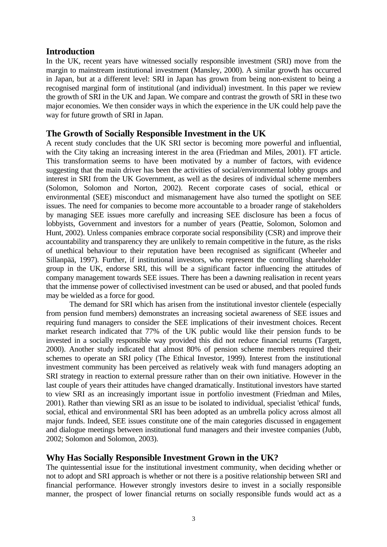## **Introduction**

In the UK, recent years have witnessed socially responsible investment (SRI) move from the margin to mainstream institutional investment (Mansley, 2000). A similar growth has occurred in Japan, but at a different level: SRI in Japan has grown from being non-existent to being a recognised marginal form of institutional (and individual) investment. In this paper we review the growth of SRI in the UK and Japan. We compare and contrast the growth of SRI in these two major economies. We then consider ways in which the experience in the UK could help pave the way for future growth of SRI in Japan.

## **The Growth of Socially Responsible Investment in the UK**

A recent study concludes that the UK SRI sector is becoming more powerful and influential, with the City taking an increasing interest in the area (Friedman and Miles, 2001). FT article. This transformation seems to have been motivated by a number of factors, with evidence suggesting that the main driver has been the activities of social/environmental lobby groups and interest in SRI from the UK Government, as well as the desires of individual scheme members (Solomon, Solomon and Norton, 2002). Recent corporate cases of social, ethical or environmental (SEE) misconduct and mismanagement have also turned the spotlight on SEE issues. The need for companies to become more accountable to a broader range of stakeholders by managing SEE issues more carefully and increasing SEE disclosure has been a focus of lobbyists, Government and investors for a number of years (Peattie, Solomon, Solomon and Hunt, 2002). Unless companies embrace corporate social responsibility (CSR) and improve their accountability and transparency they are unlikely to remain competitive in the future, as the risks of unethical behaviour to their reputation have been recognised as significant (Wheeler and Sillanpää, 1997). Further, if institutional investors, who represent the controlling shareholder group in the UK, endorse SRI, this will be a significant factor influencing the attitudes of company management towards SEE issues. There has been a dawning realisation in recent years that the immense power of collectivised investment can be used or abused, and that pooled funds may be wielded as a force for good.

The demand for SRI which has arisen from the institutional investor clientele (especially from pension fund members) demonstrates an increasing societal awareness of SEE issues and requiring fund managers to consider the SEE implications of their investment choices. Recent market research indicated that 77% of the UK public would like their pension funds to be invested in a socially responsible way provided this did not reduce financial returns (Targett, 2000). Another study indicated that almost 80% of pension scheme members required their schemes to operate an SRI policy (The Ethical Investor, 1999). Interest from the institutional investment community has been perceived as relatively weak with fund managers adopting an SRI strategy in reaction to external pressure rather than on their own initiative. However in the last couple of years their attitudes have changed dramatically. Institutional investors have started to view SRI as an increasingly important issue in portfolio investment (Friedman and Miles, 2001). Rather than viewing SRI as an issue to be isolated to individual, specialist 'ethical' funds, social, ethical and environmental SRI has been adopted as an umbrella policy across almost all major funds. Indeed, SEE issues constitute one of the main categories discussed in engagement and dialogue meetings between institutional fund managers and their investee companies (Jubb, 2002; Solomon and Solomon, 2003).

## **Why Has Socially Responsible Investment Grown in the UK?**

The quintessential issue for the institutional investment community, when deciding whether or not to adopt and SRI approach is whether or not there is a positive relationship between SRI and financial performance. However strongly investors desire to invest in a socially responsible manner, the prospect of lower financial returns on socially responsible funds would act as a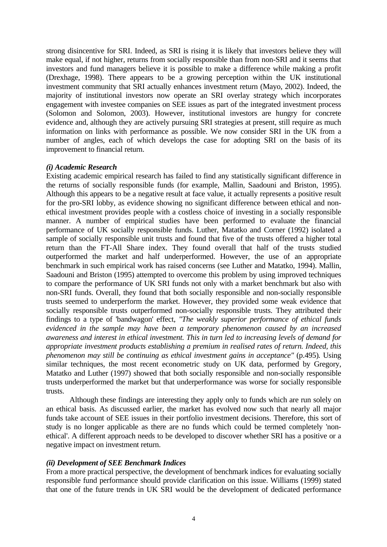strong disincentive for SRI. Indeed, as SRI is rising it is likely that investors believe they will make equal, if not higher, returns from socially responsible than from non-SRI and it seems that investors and fund managers believe it is possible to make a difference while making a profit (Drexhage, 1998). There appears to be a growing perception within the UK institutional investment community that SRI actually enhances investment return (Mayo, 2002). Indeed, the majority of institutional investors now operate an SRI overlay strategy which incorporates engagement with investee companies on SEE issues as part of the integrated investment process (Solomon and Solomon, 2003). However, institutional investors are hungry for concrete evidence and, although they are actively pursuing SRI strategies at present, still require as much information on links with performance as possible. We now consider SRI in the UK from a number of angles, each of which develops the case for adopting SRI on the basis of its improvement to financial return.

#### *(i) Academic Research*

Existing academic empirical research has failed to find any statistically significant difference in the returns of socially responsible funds (for example, Mallin, Saadouni and Briston, 1995). Although this appears to be a negative result at face value, it actually represents a positive result for the pro-SRI lobby, as evidence showing no significant difference between ethical and nonethical investment provides people with a costless choice of investing in a socially responsible manner. A number of empirical studies have been performed to evaluate the financial performance of UK socially responsible funds. Luther, Matatko and Corner (1992) isolated a sample of socially responsible unit trusts and found that five of the trusts offered a higher total return than the FT-All Share index. They found overall that half of the trusts studied outperformed the market and half underperformed. However, the use of an appropriate benchmark in such empirical work has raised concerns (see Luther and Matatko, 1994). Mallin, Saadouni and Briston (1995) attempted to overcome this problem by using improved techniques to compare the performance of UK SRI funds not only with a market benchmark but also with non-SRI funds. Overall, they found that both socially responsible and non-socially responsible trusts seemed to underperform the market. However, they provided some weak evidence that socially responsible trusts outperformed non-socially responsible trusts. They attributed their findings to a type of 'bandwagon' effect, *"The weakly superior performance of ethical funds evidenced in the sample may have been a temporary phenomenon caused by an increased awareness and interest in ethical investment. This in turn led to increasing levels of demand for appropriate investment products establishing a premium in realised rates of return. Indeed, this phenomenon may still be continuing as ethical investment gains in acceptance"* (p.495)*.* Using similar techniques, the most recent econometric study on UK data, performed by Gregory, Matatko and Luther (1997) showed that both socially responsible and non-socially responsible trusts underperformed the market but that underperformance was worse for socially responsible trusts.

Although these findings are interesting they apply only to funds which are run solely on an ethical basis. As discussed earlier, the market has evolved now such that nearly all major funds take account of SEE issues in their portfolio investment decisions. Therefore, this sort of study is no longer applicable as there are no funds which could be termed completely 'nonethical'. A different approach needs to be developed to discover whether SRI has a positive or a negative impact on investment return.

#### *(ii) Development of SEE Benchmark Indices*

From a more practical perspective, the development of benchmark indices for evaluating socially responsible fund performance should provide clarification on this issue. Williams (1999) stated that one of the future trends in UK SRI would be the development of dedicated performance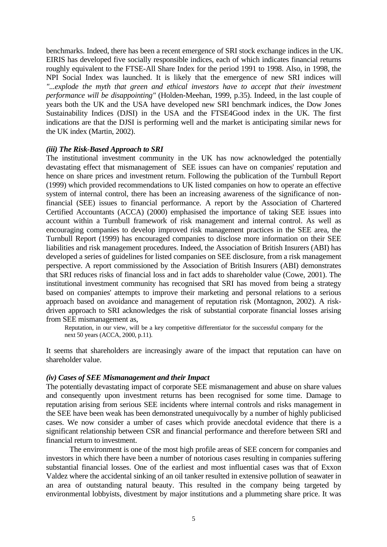benchmarks. Indeed, there has been a recent emergence of SRI stock exchange indices in the UK. EIRIS has developed five socially responsible indices, each of which indicates financial returns roughly equivalent to the FTSE-All Share Index for the period 1991 to 1998. Also, in 1998, the NPI Social Index was launched. It is likely that the emergence of new SRI indices will *"...explode the myth that green and ethical investors have to accept that their investment performance will be disappointing"* (Holden-Meehan, 1999, p.35). Indeed, in the last couple of years both the UK and the USA have developed new SRI benchmark indices, the Dow Jones Sustainability Indices (DJSI) in the USA and the FTSE4Good index in the UK. The first indications are that the DJSI is performing well and the market is anticipating similar news for the UK index (Martin, 2002).

#### *(iii) The Risk-Based Approach to SRI*

The institutional investment community in the UK has now acknowledged the potentially devastating effect that mismanagement of SEE issues can have on companies' reputation and hence on share prices and investment return. Following the publication of the Turnbull Report (1999) which provided recommendations to UK listed companies on how to operate an effective system of internal control, there has been an increasing awareness of the significance of nonfinancial (SEE) issues to financial performance. A report by the Association of Chartered Certified Accountants (ACCA) (2000) emphasised the importance of taking SEE issues into account within a Turnbull framework of risk management and internal control. As well as encouraging companies to develop improved risk management practices in the SEE area, the Turnbull Report (1999) has encouraged companies to disclose more information on their SEE liabilities and risk management procedures. Indeed, the Association of British Insurers (ABI) has developed a series of guidelines for listed companies on SEE disclosure, from a risk management perspective. A report commissioned by the Association of British Insurers (ABI) demonstrates that SRI reduces risks of financial loss and in fact adds to shareholder value (Cowe, 2001). The institutional investment community has recognised that SRI has moved from being a strategy based on companies' attempts to improve their marketing and personal relations to a serious approach based on avoidance and management of reputation risk (Montagnon, 2002). A riskdriven approach to SRI acknowledges the risk of substantial corporate financial losses arising from SEE mismanagement as,<br>Reputation, in our view, will be a key competitive differentiator for the successful company for the

next 50 years (ACCA, 2000, p.11).

It seems that shareholders are increasingly aware of the impact that reputation can have on shareholder value.

#### *(iv) Cases of SEE Mismanagement and their Impact*

The potentially devastating impact of corporate SEE mismanagement and abuse on share values and consequently upon investment returns has been recognised for some time. Damage to reputation arising from serious SEE incidents where internal controls and risks management in the SEE have been weak has been demonstrated unequivocally by a number of highly publicised cases. We now consider a umber of cases which provide anecdotal evidence that there is a significant relationship between CSR and financial performance and therefore between SRI and financial return to investment.

The environment is one of the most high profile areas of SEE concern for companies and investors in which there have been a number of notorious cases resulting in companies suffering substantial financial losses. One of the earliest and most influential cases was that of Exxon Valdez where the accidental sinking of an oil tanker resulted in extensive pollution of seawater in an area of outstanding natural beauty. This resulted in the company being targeted by environmental lobbyists, divestment by major institutions and a plummeting share price. It was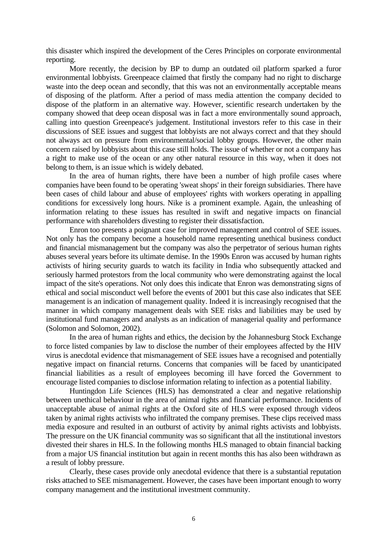this disaster which inspired the development of the Ceres Principles on corporate environmental reporting.

More recently, the decision by BP to dump an outdated oil platform sparked a furor environmental lobbyists. Greenpeace claimed that firstly the company had no right to discharge waste into the deep ocean and secondly, that this was not an environmentally acceptable means of disposing of the platform. After a period of mass media attention the company decided to dispose of the platform in an alternative way. However, scientific research undertaken by the company showed that deep ocean disposal was in fact a more environmentally sound approach, calling into question Greenpeace's judgement. Institutional investors refer to this case in their discussions of SEE issues and suggest that lobbyists are not always correct and that they should not always act on pressure from environmental/social lobby groups. However, the other main concern raised by lobbyists about this case still holds. The issue of whether or not a company has a right to make use of the ocean or any other natural resource in this way, when it does not belong to them, is an issue which is widely debated.

In the area of human rights, there have been a number of high profile cases where companies have been found to be operating 'sweat shops' in their foreign subsidiaries. There have been cases of child labour and abuse of employees' rights with workers operating in appalling conditions for excessively long hours. Nike is a prominent example. Again, the unleashing of information relating to these issues has resulted in swift and negative impacts on financial performance with shareholders divesting to register their dissatisfaction.

Enron too presents a poignant case for improved management and control of SEE issues. Not only has the company become a household name representing unethical business conduct and financial mismanagement but the company was also the perpetrator of serious human rights abuses several years before its ultimate demise. In the 1990s Enron was accused by human rights activists of hiring security guards to watch its facility in India who subsequently attacked and seriously harmed protestors from the local community who were demonstrating against the local impact of the site's operations. Not only does this indicate that Enron was demonstrating signs of ethical and social misconduct well before the events of 2001 but this case also indicates that SEE management is an indication of management quality. Indeed it is increasingly recognised that the manner in which company management deals with SEE risks and liabilities may be used by institutional fund managers and analysts as an indication of managerial quality and performance (Solomon and Solomon, 2002).

In the area of human rights and ethics, the decision by the Johannesburg Stock Exchange to force listed companies by law to disclose the number of their employees affected by the HIV virus is anecdotal evidence that mismanagement of SEE issues have a recognised and potentially negative impact on financial returns. Concerns that companies will be faced by unanticipated financial liabilities as a result of employees becoming ill have forced the Government to encourage listed companies to disclose information relating to infection as a potential liability.

Huntingdon Life Sciences (HLS) has demonstrated a clear and negative relationship between unethical behaviour in the area of animal rights and financial performance. Incidents of unacceptable abuse of animal rights at the Oxford site of HLS were exposed through videos taken by animal rights activists who infiltrated the company premises. These clips received mass media exposure and resulted in an outburst of activity by animal rights activists and lobbyists. The pressure on the UK financial community was so significant that all the institutional investors divested their shares in HLS. In the following months HLS managed to obtain financial backing from a major US financial institution but again in recent months this has also been withdrawn as a result of lobby pressure.

Clearly, these cases provide only anecdotal evidence that there is a substantial reputation risks attached to SEE mismanagement. However, the cases have been important enough to worry company management and the institutional investment community.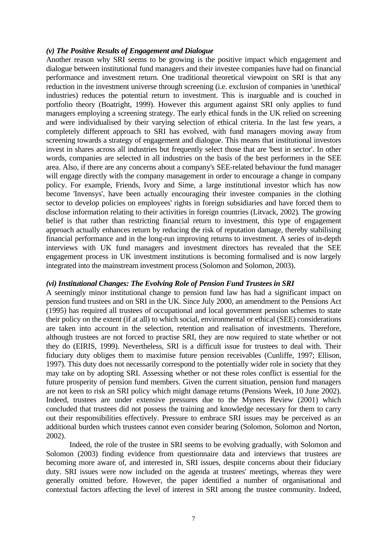#### *(v) The Positive Results of Engagement and Dialogue*

Another reason why SRI seems to be growing is the positive impact which engagement and dialogue between institutional fund managers and their investee companies have had on financial performance and investment return. One traditional theoretical viewpoint on SRI is that any reduction in the investment universe through screening (i.e. exclusion of companies in 'unethical' industries) reduces the potential return to investment. This is inarguable and is couched in portfolio theory (Boatright, 1999). However this argument against SRI only applies to fund managers employing a screening strategy. The early ethical funds in the UK relied on screening and were individualised by their varying selection of ethical criteria. In the last few years, a completely different approach to SRI has evolved, with fund managers moving away from screening towards a strategy of engagement and dialogue. This means that institutional investors invest in shares across all industries but frequently select those that are 'best in sector'. In other words, companies are selected in all industries on the basis of the best performers in the SEE area. Also, if there are any concerns about a company's SEE-related behaviour the fund manager will engage directly with the company management in order to encourage a change in company policy. For example, Friends, Ivory and Sime, a large institutional investor which has now become 'Invensys', have been actually encouraging their investee companies in the clothing sector to develop policies on employees' rights in foreign subsidiaries and have forced them to disclose information relating to their activities in foreign countries (Litvack, 2002). The growing belief is that rather than restricting financial return to investment, this type of engagement approach actually enhances return by reducing the risk of reputation damage, thereby stabilising financial performance and in the long-run improving returns to investment. A series of in-depth interviews with UK fund managers and investment directors has revealed that the SEE engagement process in UK investment institutions is becoming formalised and is now largely integrated into the mainstream investment process (Solomon and Solomon, 2003).

#### *(vi) Institutional Changes: The Evolving Role of Pension Fund Trustees in SRI*

A seemingly minor institutional change to pension fund law has had a significant impact on pension fund trustees and on SRI in the UK. Since July 2000, an amendment to the Pensions Act (1995) has required all trustees of occupational and local government pension schemes to state their policy on the extent (if at all) to which social, environmental or ethical (SEE) considerations are taken into account in the selection, retention and realisation of investments. Therefore, although trustees are not forced to practise SRI, they are now required to state whether or not they do (EIRIS, 1999). Nevertheless, SRI is a difficult issue for trustees to deal with. Their fiduciary duty obliges them to maximise future pension receivables (Cunliffe, 1997; Ellison, 1997). This duty does not necessarily correspond to the potentially wider role in society that they may take on by adopting SRI. Assessing whether or not these roles conflict is essential for the future prosperity of pension fund members. Given the current situation, pension fund managers are not keen to risk an SRI policy which might damage returns (Pensions Week, 10 June 2002). Indeed, trustees are under extensive pressures due to the Myners Review (2001) which concluded that trustees did not possess the training and knowledge necessary for them to carry out their responsibilities effectively. Pressure to embrace SRI issues may be perceived as an additional burden which trustees cannot even consider bearing (Solomon, Solomon and Norton, 2002).

Indeed, the role of the trustee in SRI seems to be evolving gradually, with Solomon and Solomon (2003) finding evidence from questionnaire data and interviews that trustees are becoming more aware of, and interested in, SRI issues, despite concerns about their fiduciary duty. SRI issues were now included on the agenda at trustees' meetings, whereas they were generally omitted before. However, the paper identified a number of organisational and contextual factors affecting the level of interest in SRI among the trustee community. Indeed,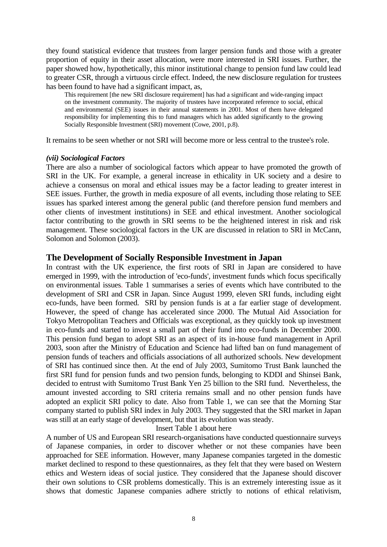they found statistical evidence that trustees from larger pension funds and those with a greater proportion of equity in their asset allocation, were more interested in SRI issues. Further, the paper showed how, hypothetically, this minor institutional change to pension fund law could lead to greater CSR, through a virtuous circle effect. Indeed, the new disclosure regulation for trustees has been found to have had a significant impact, as,

This requirement [the new SRI disclosure requirement] has had a significant and wide-ranging impact on the investment community. The majority of trustees have incorporated reference to social, ethical and environmental (SEE) issues in their annual statements in 2001. Most of them have delegated responsibility for implementing this to fund managers which has added significantly to the growing Socially Responsible Investment (SRI) movement (Cowe, 2001, p.8).

It remains to be seen whether or not SRI will become more or less central to the trustee's role.

#### *(vii) Sociological Factors*

There are also a number of sociological factors which appear to have promoted the growth of SRI in the UK. For example, a general increase in ethicality in UK society and a desire to achieve a consensus on moral and ethical issues may be a factor leading to greater interest in SEE issues. Further, the growth in media exposure of all events, including those relating to SEE issues has sparked interest among the general public (and therefore pension fund members and other clients of investment institutions) in SEE and ethical investment. Another sociological factor contributing to the growth in SRI seems to be the heightened interest in risk and risk management. These sociological factors in the UK are discussed in relation to SRI in McCann, Solomon and Solomon (2003).

## **The Development of Socially Responsible Investment in Japan**

In contrast with the UK experience, the first roots of SRI in Japan are considered to have emerged in 1999, with the introduction of 'eco-funds', investment funds which focus specifically on environmental issues. Table 1 summarises a series of events which have contributed to the development of SRI and CSR in Japan. Since August 1999, eleven SRI funds, including eight eco-funds, have been formed. SRI by pension funds is at a far earlier stage of development. However, the speed of change has accelerated since 2000. The Mutual Aid Association for Tokyo Metropolitan Teachers and Officials was exceptional, as they quickly took up investment in eco-funds and started to invest a small part of their fund into eco-funds in December 2000. This pension fund began to adopt SRI as an aspect of its in-house fund management in April 2003, soon after the Ministry of Education and Science had lifted ban on fund management of pension funds of teachers and officials associations of all authorized schools. New development of SRI has continued since then. At the end of July 2003, Sumitomo Trust Bank launched the first SRI fund for pension funds and two pension funds, belonging to KDDI and Shinsei Bank, decided to entrust with Sumitomo Trust Bank Yen 25 billion to the SRI fund. Nevertheless, the amount invested according to SRI criteria remains small and no other pension funds have adopted an explicit SRI policy to date. Also from Table 1, we can see that the Morning Star company started to publish SRI index in July 2003. They suggested that the SRI market in Japan was still at an early stage of development, but that its evolution was steady.

Insert Table 1 about here

A number of US and European SRI research-organisations have conducted questionnaire surveys of Japanese companies, in order to discover whether or not these companies have been approached for SEE information. However, many Japanese companies targeted in the domestic market declined to respond to these questionnaires, as they felt that they were based on Western ethics and Western ideas of social justice. They considered that the Japanese should discover their own solutions to CSR problems domestically. This is an extremely interesting issue as it shows that domestic Japanese companies adhere strictly to notions of ethical relativism,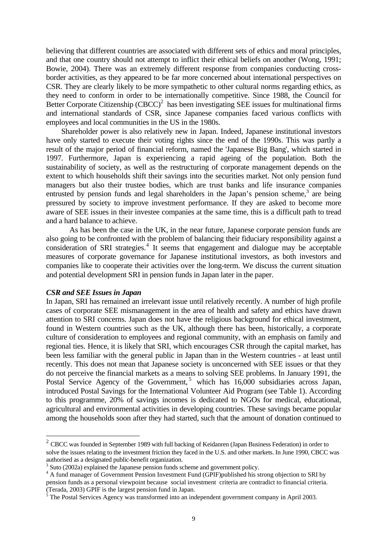believing that different countries are associated with different sets of ethics and moral principles, and that one country should not attempt to inflict their ethical beliefs on another (Wong, 1991; Bowie, 2004). There was an extremely different response from companies conducting crossborder activities, as they appeared to be far more concerned about international perspectives on CSR. They are clearly likely to be more sympathetic to other cultural norms regarding ethics, as they need to conform in order to be internationally competitive. Since 1988, the Council for Better Corporate Citizenship  $(CBCC)^2$  has been investigating SEE issues for multinational firms and international standards of CSR, since Japanese companies faced various conflicts with employees and local communities in the US in the 1980s.

Shareholder power is also relatively new in Japan. Indeed, Japanese institutional investors have only started to execute their voting rights since the end of the 1990s. This was partly a result of the major period of financial reform, named the 'Japanese Big Bang', which started in 1997. Furthermore, Japan is experiencing a rapid ageing of the population. Both the sustainability of society, as well as the restructuring of corporate management depends on the extent to which households shift their savings into the securities market. Not only pension fund managers but also their trustee bodies, which are trust banks and life insurance companies entrusted by pension funds and legal shareholders in the Japan's pension scheme, $3$  are being pressured by society to improve investment performance. If they are asked to become more aware of SEE issues in their investee companies at the same time, this is a difficult path to tread and a hard balance to achieve.

As has been the case in the UK, in the near future, Japanese corporate pension funds are also going to be confronted with the problem of balancing their fiduciary responsibility against a consideration of SRI strategies. $4$  It seems that engagement and dialogue may be acceptable measures of corporate governance for Japanese institutional investors, as both investors and companies like to cooperate their activities over the long-term. We discuss the current situation and potential development SRI in pension funds in Japan later in the paper.

#### *CSR and SEE Issues in Japan*

 $\overline{a}$ 

In Japan, SRI has remained an irrelevant issue until relatively recently. A number of high profile cases of corporate SEE mismanagement in the area of health and safety and ethics have drawn attention to SRI concerns. Japan does not have the religious background for ethical investment, found in Western countries such as the UK, although there has been, historically, a corporate culture of consideration to employees and regional community, with an emphasis on family and regional ties. Hence, it is likely that SRI, which encourages CSR through the capital market, has been less familiar with the general public in Japan than in the Western countries - at least until recently. This does not mean that Japanese society is unconcerned with SEE issues or that they do not perceive the financial markets as a means to solving SEE problems. In January 1991, the Postal Service Agency of the Government,<sup>5</sup> which has  $16,000$  subsidiaries across Japan, introduced Postal Savings for the International Volunteer Aid Program (see Table 1). According to this programme, 20% of savings incomes is dedicated to NGOs for medical, educational, agricultural and environmental activities in developing countries. These savings became popular among the households soon after they had started, such that the amount of donation continued to

 $2$  CBCC was founded in September 1989 with full backing of Keidanren (Japan Business Federation) in order to solve the issues relating to the investment friction they faced in the U.S. and other markets. In June 1990, CBCC was authorised as a designated public-benefit organization. 3

 $3$  Suto (2002a) explained the Japanese pension funds scheme and government policy.

<sup>&</sup>lt;sup>4</sup> A fund manager of Government Pension Investment Fund (GPIF)published his strong objection to SRI by pension funds as a personal viewpoint because social investment criteria are contradict to financial criteria. (Terada, 2003) GPIF is the largest pension fund in Japan.

 $\overrightarrow{S}$  The Postal Services Agency was transformed into an independent government company in April 2003.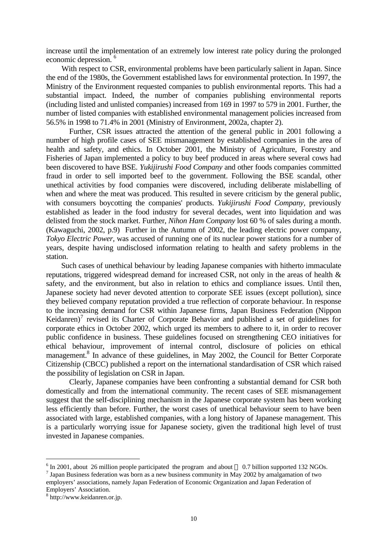increase until the implementation of an extremely low interest rate policy during the prolonged economic depression. 6

With respect to CSR, environmental problems have been particularly salient in Japan. Since the end of the 1980s, the Government established laws for environmental protection. In 1997, the Ministry of the Environment requested companies to publish environmental reports. This had a substantial impact. Indeed, the number of companies publishing environmental reports (including listed and unlisted companies) increased from 169 in 1997 to 579 in 2001. Further, the number of listed companies with established environmental management policies increased from 56.5% in 1998 to 71.4% in 2001 (Ministry of Environment, 2002a, chapter 2).

Further, CSR issues attracted the attention of the general public in 2001 following a number of high profile cases of SEE mismanagement by established companies in the area of health and safety, and ethics. In October 2001, the Ministry of Agriculture, Forestry and Fisheries of Japan implemented a policy to buy beef produced in areas where several cows had been discovered to have BSE. *Yukijirushi Food Company* and other foods companies committed fraud in order to sell imported beef to the government. Following the BSE scandal, other unethical activities by food companies were discovered, including deliberate mislabelling of when and where the meat was produced. This resulted in severe criticism by the general public, with consumers boycotting the companies' products. *Yukijirushi Food Company,* previously established as leader in the food industry for several decades, went into liquidation and was delisted from the stock market. Further, *Nihon Ham Company* lost 60 % of sales during a month. (Kawaguchi, 2002, p.9) Further in the Autumn of 2002, the leading electric power company, *Tokyo Electric Power,* was accused of running one of its nuclear power stations for a number of years, despite having undisclosed information relating to health and safety problems in the station.

Such cases of unethical behaviour by leading Japanese companies with hitherto immaculate reputations, triggered widespread demand for increased CSR, not only in the areas of health & safety, and the environment, but also in relation to ethics and compliance issues. Until then, Japanese society had never devoted attention to corporate SEE issues (except pollution), since they believed company reputation provided a true reflection of corporate behaviour. In response to the increasing demand for CSR within Japanese firms, Japan Business Federation (Nippon Keidanren)<sup>7</sup> revised its Charter of Corporate Behavior and published a set of guidelines for corporate ethics in October 2002, which urged its members to adhere to it, in order to recover public confidence in business. These guidelines focused on strengthening CEO initiatives for ethical behaviour, improvement of internal control, disclosure of policies on ethical management.<sup>8</sup> In advance of these guidelines, in May 2002, the Council for Better Corporate Citizenship (CBCC) published a report on the international standardisation of CSR which raised the possibility of legislation on CSR in Japan.

Clearly, Japanese companies have been confronting a substantial demand for CSR both domestically and from the international community. The recent cases of SEE mismanagement suggest that the self-disciplining mechanism in the Japanese corporate system has been working less efficiently than before. Further, the worst cases of unethical behaviour seem to have been associated with large, established companies, with a long history of Japanese management. This is a particularly worrying issue for Japanese society, given the traditional high level of trust invested in Japanese companies.

 $6$  In 2001, about 26 million people participated the program and about <sup>6</sup> In 2001, about 26 million people participated the program and about 0.7 billion supported 132 NGOs.<br><sup>7</sup> Japan Business federation was born as a new business community in May 2002 by amalgamation of two

employers' associations, namely Japan Federation of Economic Organization and Japan Federation of Employers' Association. 8

http://www.keidanren.or.jp.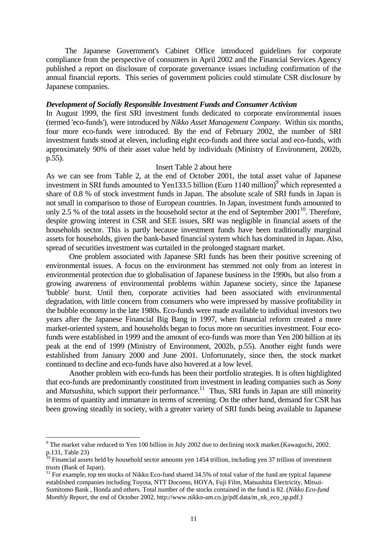The Japanese Government's Cabinet Office introduced guidelines for corporate compliance from the perspective of consumers in April 2002 and the Financial Services Agency published a report on disclosure of corporate governance issues including confirmation of the annual financial reports. This series of government policies could stimulate CSR disclosure by Japanese companies.

#### *Development of Socially Responsible Investment Funds and Consumer Activism*

In August 1999, the first SRI investment funds dedicated to corporate environmental issues (termed 'eco-funds'), were introduced by *Nikko Asset Management Company*. Within six months, four more eco-funds were introduced. By the end of February 2002, the number of SRI investment funds stood at eleven, including eight eco-funds and three social and eco-funds, with approximately 90% of their asset value held by individuals (Ministry of Environment, 2002b, p.55).

#### Insert Table 2 about here

As we can see from Table 2, at the end of October 2001, the total asset value of Japanese investment in SRI funds amounted to Yen133.5 billion (Euro 1140 million)<sup>9</sup> which represented a share of 0.8 % of stock investment funds in Japan. The absolute scale of SRI funds in Japan is not small in comparison to those of European countries. In Japan, investment funds amounted to only 2.5 % of the total assets in the household sector at the end of September  $2001^{10}$ . Therefore, despite growing interest in CSR and SEE issues, SRI was negligible in financial assets of the households sector. This is partly because investment funds have been traditionally marginal assets for households, given the bank-based financial system which has dominated in Japan. Also, spread of securities investment was curtailed in the prolonged stagnant market.

One problem associated with Japanese SRI funds has been their positive screening of environmental issues. A focus on the environment has stemmed not only from an interest in environmental protection due to globalisation of Japanese business in the 1990s, but also from a growing awareness of environmental problems within Japanese society, since the Japanese 'bubble' burst. Until then, corporate activities had been associated with environmental degradation, with little concern from consumers who were impressed by massive profitability in the bubble economy in the late 1980s. Eco-funds were made available to individual investors two years after the Japanese Financial Big Bang in 1997, when financial reform created a more market-oriented system, and households began to focus more on securities investment. Four ecofunds were established in 1999 and the amount of eco-funds was more than Yen 200 billion at its peak at the end of 1999 (Ministry of Environment, 2002b, p.55). Another eight funds were established from January 2000 and June 2001. Unfortunately, since then, the stock market continued to decline and eco-funds have also hovered at a low level.

Another problem with eco-funds has been their portfolio strategies. It is often highlighted that eco-funds are predominantly constituted from investment in leading companies such as *Sony* and *Matsushita*, which support their performance.<sup>11</sup> Thus, SRI funds in Japan are still minority in terms of quantity and immature in terms of screening. On the other hand, demand for CSR has been growing steadily in society, with a greater variety of SRI funds being available to Japanese

<sup>&</sup>lt;sup>9</sup> The market value reduced to Yen 100 billion in July 2002 due to declining stock market. (Kawaguchi, 2002.

p.131, Table 23)<br><sup>10</sup> Financial assets held by household sector amounts yen 1454 trillion, including yen 37 trillion of investment trusts (Bank of Japan).<br><sup>11</sup> For example, top ten stocks of Nikko Eco-fund shared 34.5% of total value of the fund are typical Japanese

established companies including Toyota, NTT Docomo, HOYA, Fuji Film, Matsushita Electricity, Mitsui-Sumitomo Bank , Honda and others. Total number of the stocks contained in the fund is 82. (*Nikko Eco-fund Monthly Report,* the end of October 2002, http://www.nikko-am.co.jp/pdf.data/m\_nk\_eco\_sp.pdf.)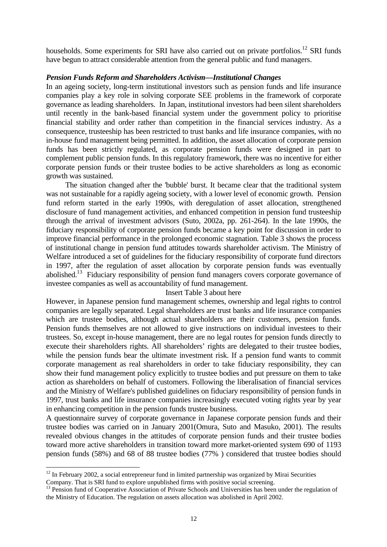households. Some experiments for SRI have also carried out on private portfolios.<sup>12</sup> SRI funds have begun to attract considerable attention from the general public and fund managers.

#### *Pension Funds Reform and Shareholders Activism—Institutional Changes*

In an ageing society, long-term institutional investors such as pension funds and life insurance companies play a key role in solving corporate SEE problems in the framework of corporate governance as leading shareholders. In Japan, institutional investors had been silent shareholders until recently in the bank-based financial system under the government policy to prioritise financial stability and order rather than competition in the financial services industry. As a consequence, trusteeship has been restricted to trust banks and life insurance companies, with no in-house fund management being permitted. In addition, the asset allocation of corporate pension funds has been strictly regulated, as corporate pension funds were designed in part to complement public pension funds. In this regulatory framework, there was no incentive for either corporate pension funds or their trustee bodies to be active shareholders as long as economic growth was sustained.

The situation changed after the 'bubble' burst. It became clear that the traditional system was not sustainable for a rapidly ageing society, with a lower level of economic growth. Pension fund reform started in the early 1990s, with deregulation of asset allocation, strengthened disclosure of fund management activities, and enhanced competition in pension fund trusteeship through the arrival of investment advisors (Suto, 2002a, pp. 261-264). In the late 1990s, the fiduciary responsibility of corporate pension funds became a key point for discussion in order to improve financial performance in the prolonged economic stagnation. Table 3 shows the process of institutional change in pension fund attitudes towards shareholder activism. The Ministry of Welfare introduced a set of guidelines for the fiduciary responsibility of corporate fund directors in 1997, after the regulation of asset allocation by corporate pension funds was eventually abolished.<sup>13</sup> Fiduciary responsibility of pension fund managers covers corporate governance of investee companies as well as accountability of fund management.

#### Insert Table 3 about here

However, in Japanese pension fund management schemes, ownership and legal rights to control companies are legally separated. Legal shareholders are trust banks and life insurance companies which are trustee bodies, although actual shareholders are their customers, pension funds. Pension funds themselves are not allowed to give instructions on individual investees to their trustees. So, except in-house management, there are no legal routes for pension funds directly to execute their shareholders rights. All shareholders' rights are delegated to their trustee bodies, while the pension funds bear the ultimate investment risk. If a pension fund wants to commit corporate management as real shareholders in order to take fiduciary responsibility, they can show their fund management policy explicitly to trustee bodies and put pressure on them to take action as shareholders on behalf of customers. Following the liberalisation of financial services and the Ministry of Welfare's published guidelines on fiduciary responsibility of pension funds in 1997, trust banks and life insurance companies increasingly executed voting rights year by year in enhancing competition in the pension funds trustee business.

A questionnaire survey of corporate governance in Japanese corporate pension funds and their trustee bodies was carried on in January 2001(Omura, Suto and Masuko, 2001). The results revealed obvious changes in the attitudes of corporate pension funds and their trustee bodies toward more active shareholders in transition toward more market-oriented system 690 of 1193 pension funds (58%) and 68 of 88 trustee bodies (77% ) considered that trustee bodies should

 $12$  In February 2002, a social entrepreneur fund in limited partnership was organized by Mirai Securities Company. That is SRI fund to explore unpublished firms with positive social screening.

<sup>&</sup>lt;sup>13</sup> Pension fund of Cooperative Association of Private Schools and Universities has been under the regulation of the Ministry of Education. The regulation on assets allocation was abolished in April 2002.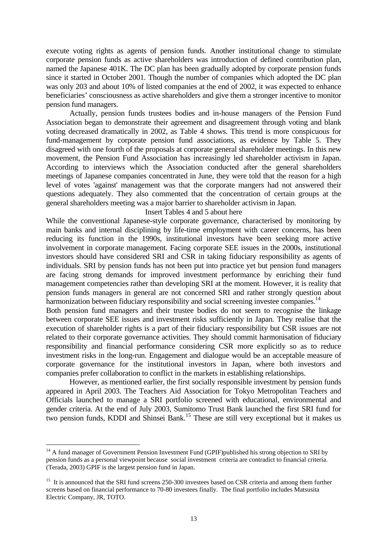execute voting rights as agents of pension funds. Another institutional change to stimulate corporate pension funds as active shareholders was introduction of defined contribution plan, named the Japanese 401K. The DC plan has been gradually adopted by corporate pension funds since it started in October 2001. Though the number of companies which adopted the DC plan was only 203 and about 10% of listed companies at the end of 2002, it was expected to enhance beneficiaries' consciousness as active shareholders and give them a stronger incentive to monitor pension fund managers.

Actually, pension funds trustees bodies and in-house managers of the Pension Fund Association began to demonstrate their agreement and disagreement through voting and blank voting decreased dramatically in 2002, as Table 4 shows. This trend is more conspicuous for fund-management by corporate pension fund associations, as evidence by Table 5. They disagreed with one fourth of the proposals at corporate general shareholder meetings. In this new movement, the Pension Fund Association has increasingly led shareholder activism in Japan. According to interviews which the Association conducted after the general shareholders meetings of Japanese companies concentrated in June, they were told that the reason for a high level of votes 'against' management was that the corporate mangers had not answered their questions adequately. They also commented that the concentration of certain groups at the general shareholders meeting was a major barrier to shareholder activism in Japan.

Insert Tables 4 and 5 about here

While the conventional Japanese-style corporate governance, characterised by monitoring by main banks and internal disciplining by life-time employment with career concerns, has been reducing its function in the 1990s, institutional investors have been seeking more active involvement in corporate management. Facing corporate SEE issues in the 2000s, institutional investors should have considered SRI and CSR in taking fiduciary responsibility as agents of individuals. SRI by pension funds has not been put into practice yet but pension fund managers are facing strong demands for improved investment performance by enriching their fund management competencies rather than developing SRI at the moment. However, it is reality that pension funds managers in general are not concerned SRI and rather strongly question about harmonization between fiduciary responsibility and social screening investee companies.<sup>14</sup>

Both pension fund managers and their trustee bodies do not seem to recognise the linkage between corporate SEE issues and investment risks sufficiently in Japan. They realise that the execution of shareholder rights is a part of their fiduciary responsibility but CSR issues are not related to their corporate governance activities. They should commit harmonisation of fiduciary responsibility and financial performance considering CSR more explicitly so as to reduce investment risks in the long-run. Engagement and dialogue would be an acceptable measure of corporate governance for the institutional investors in Japan, where both investors and companies prefer collaboration to conflict in the markets in establishing relationships.

However, as mentioned earlier, the first socially responsible investment by pension funds appeared in April 2003. The Teachers Aid Association for Tokyo Metropolitan Teachers and Officials launched to manage a SRI portfolio screened with educational, environmental and gender criteria. At the end of July 2003, Sumitomo Trust Bank launched the first SRI fund for two pension funds, KDDI and Shinsei Bank. 15 These are still very exceptional but it makes us

<sup>&</sup>lt;sup>14</sup> A fund manager of Government Pension Investment Fund (GPIF)published his strong objection to SRI by pension funds as a personal viewpoint because social investment criteria are contradict to financial criteria. (Terada, 2003) GPIF is the largest pension fund in Japan.

<sup>&</sup>lt;sup>15</sup> It is announced that the SRI fund screens 250-300 investees based on CSR criteria and among them further screens based on financial performance to 70-80 investees finally. The final portfolio includes Matsusita Electric Company, JR, TOTO.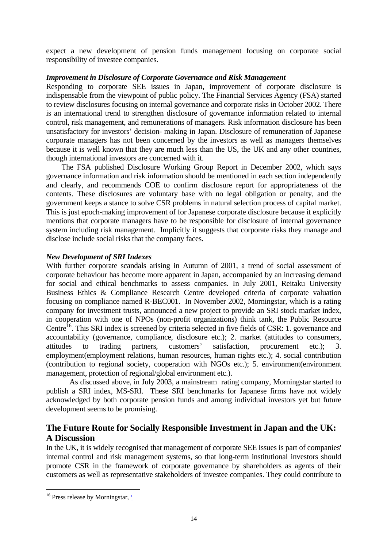expect a new development of pension funds management focusing on corporate social responsibility of investee companies.

#### *Improvement in Disclosure of Corporate Governance and Risk Management*

Responding to corporate SEE issues in Japan, improvement of corporate disclosure is indispensable from the viewpoint of public policy. The Financial Services Agency (FSA) started to review disclosures focusing on internal governance and corporate risks in October 2002. There is an international trend to strengthen disclosure of governance information related to internal control, risk management, and remunerations of managers. Risk information disclosure has been unsatisfactory for investors' decision- making in Japan. Disclosure of remuneration of Japanese corporate managers has not been concerned by the investors as well as managers themselves because it is well known that they are much less than the US, the UK and any other countries, though international investors are concerned with it.

The FSA published Disclosure Working Group Report in December 2002, which says governance information and risk information should be mentioned in each section independently and clearly, and recommends COE to confirm disclosure report for appropriateness of the contents. These disclosures are voluntary base with no legal obligation or penalty, and the government keeps a stance to solve CSR problems in natural selection process of capital market. This is just epoch-making improvement of for Japanese corporate disclosure because it explicitly mentions that corporate managers have to be responsible for disclosure of internal governance system including risk management. Implicitly it suggests that corporate risks they manage and disclose include social risks that the company faces.

#### *New Development of SRI Indexes*

With further corporate scandals arising in Autumn of 2001, a trend of social assessment of corporate behaviour has become more apparent in Japan, accompanied by an increasing demand for social and ethical benchmarks to assess companies. In July 2001, Reitaku University Business Ethics & Compliance Research Centre developed criteria of corporate valuation focusing on compliance named R-BEC001. In November 2002, Morningstar, which is a rating company for investment trusts, announced a new project to provide an SRI stock market index, in cooperation with one of NPOs (non-profit organizations) think tank, the Public Resource Centre<sup>16</sup>. This SRI index is screened by criteria selected in five fields of CSR: 1. governance and accountability (governance, compliance, disclosure etc.); 2. market (attitudes to consumers, attitudes to trading partners, customers' satisfaction, procurement etc.); 3. employment(employment relations, human resources, human rights etc.); 4. social contribution (contribution to regional society, cooperation with NGOs etc.); 5. environment(environment management, protection of regional/global environment etc.).

As discussed above, in July 2003, a mainstream rating company, Morningstar started to publish a SRI index, MS-SRI. These SRI benchmarks for Japanese firms have not widely acknowledged by both corporate pension funds and among individual investors yet but future development seems to be promising.

## **The Future Route for Socially Responsible Investment in Japan and the UK: A Discussion**

In the UK, it is widely recognised that management of corporate SEE issues is part of companies' internal control and risk management systems, so that long-term institutional investors should promote CSR in the framework of corporate governance by shareholders as agents of their customers as well as representative stakeholders of investee companies. They could contribute to

<sup>&</sup>lt;sup>16</sup> Press release by Morningstar,  $\cdot$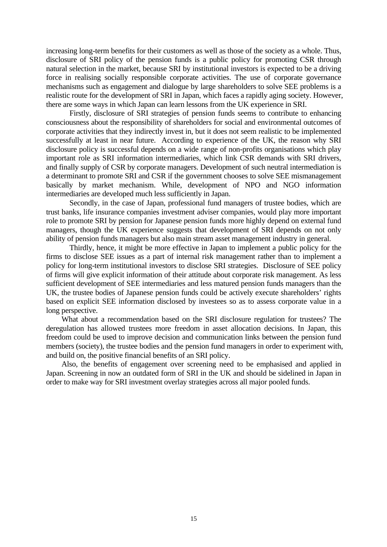increasing long-term benefits for their customers as well as those of the society as a whole. Thus, disclosure of SRI policy of the pension funds is a public policy for promoting CSR through natural selection in the market, because SRI by institutional investors is expected to be a driving force in realising socially responsible corporate activities. The use of corporate governance mechanisms such as engagement and dialogue by large shareholders to solve SEE problems is a realistic route for the development of SRI in Japan, which faces a rapidly aging society. However, there are some ways in which Japan can learn lessons from the UK experience in SRI.

Firstly, disclosure of SRI strategies of pension funds seems to contribute to enhancing consciousness about the responsibility of shareholders for social and environmental outcomes of corporate activities that they indirectly invest in, but it does not seem realistic to be implemented successfully at least in near future. According to experience of the UK, the reason why SRI disclosure policy is successful depends on a wide range of non-profits organisations which play important role as SRI information intermediaries, which link CSR demands with SRI drivers, and finally supply of CSR by corporate managers. Development of such neutral intermediation is a determinant to promote SRI and CSR if the government chooses to solve SEE mismanagement basically by market mechanism. While, development of NPO and NGO information intermediaries are developed much less sufficiently in Japan.

Secondly, in the case of Japan, professional fund managers of trustee bodies, which are trust banks, life insurance companies investment adviser companies, would play more important role to promote SRI by pension for Japanese pension funds more highly depend on external fund managers, though the UK experience suggests that development of SRI depends on not only ability of pension funds managers but also main stream asset management industry in general.

Thirdly, hence, it might be more effective in Japan to implement a public policy for the firms to disclose SEE issues as a part of internal risk management rather than to implement a policy for long-term institutional investors to disclose SRI strategies. Disclosure of SEE policy of firms will give explicit information of their attitude about corporate risk management. As less sufficient development of SEE intermediaries and less matured pension funds managers than the UK, the trustee bodies of Japanese pension funds could be actively execute shareholders' rights based on explicit SEE information disclosed by investees so as to assess corporate value in a long perspective.

What about a recommendation based on the SRI disclosure regulation for trustees? The deregulation has allowed trustees more freedom in asset allocation decisions. In Japan, this freedom could be used to improve decision and communication links between the pension fund members (society), the trustee bodies and the pension fund managers in order to experiment with, and build on, the positive financial benefits of an SRI policy.

Also, the benefits of engagement over screening need to be emphasised and applied in Japan. Screening in now an outdated form of SRI in the UK and should be sidelined in Japan in order to make way for SRI investment overlay strategies across all major pooled funds.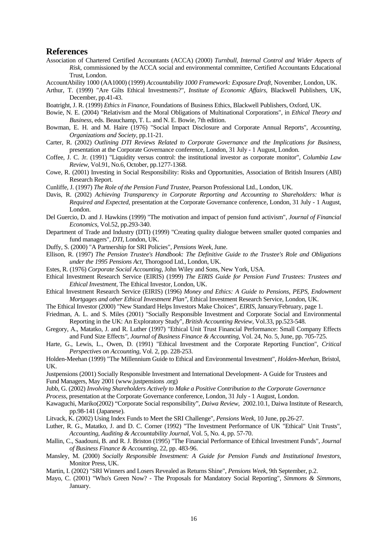#### **References**

- Association of Chartered Certified Accountants (ACCA) (2000) *Turnbull, Internal Control and Wider Aspects of Risk,* commissioned by the ACCA social and environmental committee, Certified Accountants Educational Trust, London.
- AccountAbility 1000 (AA1000) (1999) *Accountability 1000 Framework: Exposure Draft*, November, London, UK.
- Arthur, T. (1999) "Are Gilts Ethical Investments?", *Institute of Economic Affairs,* Blackwell Publishers, UK, December, pp.41-43.
- Boatright, J. R. (1999) *Ethics in Finance,* Foundations of Business Ethics, Blackwell Publishers, Oxford, UK.
- Bowie, N. E. (2004) "Relativism and the Moral Obligations of Multinational Corporations", in *Ethical Theory and Business*, eds. Beauchamp, T. L. and N. E. Bowie, 7th edition.
- Bowman, E. H. and M. Haire (1976) "Social Impact Disclosure and Corporate Annual Reports", *Accounting, Organizations and Society*, pp.11-21.
- Carter, R. (2002) *Outlining DTI Reviews Related to Corporate Governance and the Implications for Business*, presentation at the Corporate Governance conference, London, 31 July - 1 August, London.
- Coffee, J. C. Jr. (1991) "Liquidity versus control: the institutional investor as corporate monitor", *Columbia Law Review,* Vol.91, No.6, October, pp.1277-1368.
- Cowe, R. (2001) Investing in Social Responsibility: Risks and Opportunities, Association of British Insurers (ABI) Research Report.
- Cunliffe, J. (1997) *The Role of the Pension Fund Trustee,* Pearson Professional Ltd., London, UK.
- Davis, R. (2002) *Achieving Transparency in Corporate Reporting and Accounting to Shareholders: What is Required and Expected*, presentation at the Corporate Governance conference, London, 31 July - 1 August, London.
- Del Guercio, D. and J. Hawkins (1999) "The motivation and impact of pension fund activism", *Journal of Financial Economics*, Vol.52, pp.293-340.
- Department of Trade and Industry (DTI) (1999) "Creating quality dialogue between smaller quoted companies and fund managers", *DTI,* London, UK.
- Duffy, S. (2000) "A Partnership for SRI Policies", *Pensions Week,* June.
- Ellison, R. (1997) *The Pension Trustee's Handbook: The Definitive Guide to the Trustee's Role and Obligations under the 1995 Pensions Act*, Thorogood Ltd., London, UK.
- Estes, R. (1976) *Corporate Social Accounting*, John Wiley and Sons, New York, USA.
- Ethical Investment Research Service (EIRIS) (1999) *The EIRIS Guide for Pension Fund Trustees: Trustees and Ethical Investment,* The Ethical Investor, London, UK.
- Ethical Investment Research Service (EIRIS) (1996) *Money and Ethics: A Guide to Pensions, PEPS, Endowment Mortgages and other Ethical Investment Plan"*, Ethical Investment Research Service, London, UK.
- The Ethical Investor (2000) "New Standard Helps Investors Make Choices", *EIRIS,* January/February, page 1.
- Friedman, A. L. and S. Miles (2001) "Socially Responsible Investment and Corporate Social and Environmental Reporting in the UK: An Exploratory Study", *British Accounting Review,* Vol.33, pp.523-548.
- Gregory, A., Matatko, J. and R. Luther (1997) "Ethical Unit Trust Financial Performance: Small Company Effects and Fund Size Effects*", Journal of Business Finance & Accounting,* Vol. 24, No. 5, June, pp. 705-725.
- Harte, G., Lewis, L., Owen, D. (1991) "Ethical Investment and the Corporate Reporting Function", *Critical Perspectives on Accounting,* Vol. 2, pp. 228-253.
- Holden-Meehan (1999) "The Millennium Guide to Ethical and Environmental Investment", *Holden-Meehan,* Bristol, UK.
- Justpensions (2001) Socially Responsible Investment and International Development- A Guide for Trustees and Fund Managers, May 2001 (www.justpensions .org)
- Jubb, G. (2002) *Involving Shareholders Actively to Make a Positive Contribution to the Corporate Governance*
- *Process*, presentation at the Corporate Governance conference, London, 31 July 1 August, London.
- Kawaguchi, Mariko(2002) "Corporate Social responsibility", *Daiwa Review,* 2002.10.1, Daiwa Institute of Research, pp.98-141 (Japanese).
- Litvack, K. (2002) Using Index Funds to Meet the SRI Challenge", *Pensions Week,* 10 June, pp.26-27.
- Luther, R. G., Matatko, J. and D. C. Corner (1992) "The Investment Performance of UK "Ethical" Unit Trusts", *Accounting, Auditing & Accountability Journal,* Vol. 5, No. 4, pp. 57-70.
- Mallin, C., Saadouni, B. and R. J. Briston (1995) "The Financial Performance of Ethical Investment Funds", *Journal of Business Finance & Accounting*, 22, pp. 483-96.
- Mansley, M. (2000) *Socially Responsible Investment: A Guide for Pension Funds and Institutional Investors*, Monitor Press, UK.
- Martin, I. (2002) "SRI Winners and Losers Revealed as Returns Shine", *Pensions Week,* 9th September, p.2.
- Mayo, C. (2001) "Who's Green Now? The Proposals for Mandatory Social Reporting", *Simmons & Simmons,* January.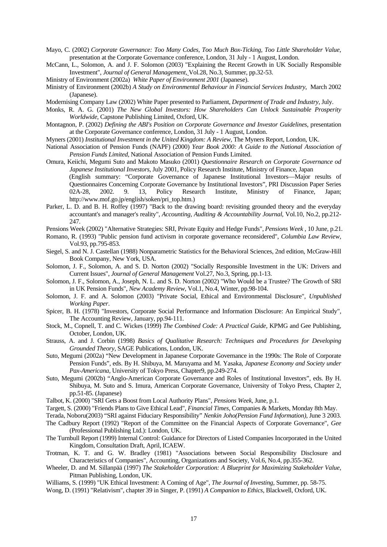Mayo, C. (2002) *Corporate Governance: Too Many Codes, Too Much Box-Ticking, Too Little Shareholder Value*, presentation at the Corporate Governance conference, London, 31 July - 1 August, London.

McCann, L., Solomon, A. and J. F. Solomon (2003) "Explaining the Recent Growth in UK Socially Responsible Investment", *Journal of General Management,* Vol.28, No.3, Summer, pp.32-53.

Ministry of Environment (2002a) *White Paper of Environment 2001* (Japanese).

Ministry of Environment (2002b) *A Study on Environmental Behaviour in Financial Services Industry*, March 2002 (Japanese).

Modernising Company Law (2002) White Paper presented to Parliament, *Department of Trade and Industry*, July.

- Monks, R. A. G. (2001) *The New Global Investors: How Shareholders Can Unlock Sustainable Prosperity Worldwide,* Capstone Publishing Limited, Oxford, UK.
- Montagnon, P. (2002) *Defining the ABI's Position on Corporate Governance and Investor Guidelines*, presentation at the Corporate Governance conference, London, 31 July - 1 August, London.

Myners (2001) *Institutional Investment in the United Kingdom: A Review,* The Myners Report, London, UK.

- National Association of Pension Funds (NAPF) (2000) *Year Book 2000: A Guide to the National Association of Pension Funds Limited,* National Association of Pension Funds Limited.
- Omura, Keiichi, Megumi Suto and Makoto Masuko (2001) *Questionnaire Research on Corporate Governance od Japanese Institutional Investors*, July 2001, Policy Research Institute, Ministry of Finance, Japan (English summary: "Corporate Governance of Japanese Institutional Investors—Major results of Questionnaires Concerning Corporate Governance by Institutional Investors", PRI Discussion Paper Series 02A-28, 2002. 9. 13, Policy Research Institute, Ministry of Finance, Japan; http://www.mof.go.jp/english/soken/pri\_top.htm.)
- Parker, L. D. and B. H. Roffey (1997) "Back to the drawing board: revisiting grounded theory and the everyday accountant's and manager's reality", *Accounting, Auditing & Accountability Journal*, Vol.10, No.2, pp.212- 247.
- Pensions Week (2002) "Alternative Strategies: SRI, Private Equity and Hedge Funds", *Pensions Week* , 10 June, p.21.
- Romano, R. (1993) "Public pension fund activism in corporate governance reconsidered", *Columbia Law Review,* Vol.93, pp.795-853.
- Siegel, S. and N. J. Castellan (1988) Nonparametric Statistics for the Behavioral Sciences, 2nd edition, McGraw-Hill Book Company, New York, USA.
- Solomon, J. F., Solomon, A. and S. D. Norton (2002) "Socially Responsible Investment in the UK: Drivers and Current Issues", *Journal of General Management* Vol.27, No.3, Spring, pp.1-13.
- Solomon, J. F., Solomon, A., Joseph, N. L. and S. D. Norton (2002) "Who Would be a Trustee? The Growth of SRI in UK Pension Funds", *New Academy Review,* Vol.1, No.4, Winter, pp.98-104.
- Solomon, J. F. and A. Solomon (2003) "Private Social, Ethical and Environmental Disclosure", *Unpublished Working Paper*.
- Spicer, B. H. (1978) "Investors, Corporate Social Performance and Information Disclosure: An Empirical Study", The Accounting Review, January, pp.94-111.
- Stock, M., Copnell, T. and C. Wickes (1999) *The Combined Code: A Practical Guide,* KPMG and Gee Publishing, October, London, UK.
- Strauss, A. and J. Corbin (1998) *Basics of Qualitative Research: Techniques and Procedures for Developing Grounded Theory*, SAGE Publications, London, UK.
- Suto, Megumi (2002a) "New Development in Japanese Corporate Governance in the 1990s: The Role of Corporate Pension Funds", eds. By H. Shibuya, M. Maruyama and M. Yasaka, *Japanese Economy and Society under Pax-Americana,* University of Tokyo Press, Chapter9, pp.249-274.
- Suto, Megumi (2002b) "Anglo-American Corporate Governance and Roles of Institutional Investors", eds. By H. Shibuya, M. Suto and S. Imura, American Corporate Governance, University of Tokyo Press, Chapter 2, pp.51-85. (Japanese)
- Talbot, K. (2000) "SRI Gets a Boost from Local Authority Plans", *Pensions Week,* June, p.1.
- Targett, S. (2000) "Friends Plans to Give Ethical Lead", *Financial Times,* Companies & Markets, Monday 8th May.
- Terada, Noboru(2003) "SRI against Fiduciary Responsibility" *Nenkin Joho(Pension Fund Information)*, June 3 2003.
- The Cadbury Report (1992) "Report of the Committee on the Financial Aspects of Corporate Governance", *Gee* (Professional Publishing Ltd.): London, UK.
- The Turnbull Report (1999) Internal Control: Guidance for Directors of Listed Companies Incorporated in the United Kingdom, Consultation Draft, April, ICAEW.
- Trotman, K. T. and G. W. Bradley (1981) "Associations between Social Responsibility Disclosure and Characteristics of Companies", Accounting, Organizations and Society, Vol.6, No.4, pp.355-362.
- Wheeler, D. and M. Sillanpää (1997) *The Stakeholder Corporation: A Blueprint for Maximizing Stakeholder Value,* Pitman Publishing, London, UK.
- Williams, S. (1999) "UK Ethical Investment: A Coming of Age", *The Journal of Investing,* Summer, pp. 58-75.
- Wong, D. (1991) "Relativism", chapter 39 in Singer, P. (1991) *A Companion to Ethics*, Blackwell, Oxford, UK.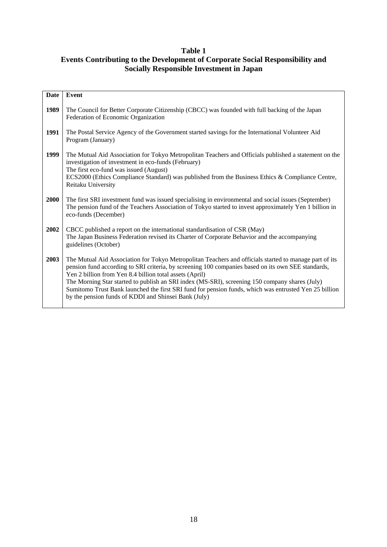## **Table 1**

## **Events Contributing to the Development of Corporate Social Responsibility and Socially Responsible Investment in Japan**

| Date        | Event                                                                                                                                                                                                                                                                                                                                                                                                                                                                                                                                      |
|-------------|--------------------------------------------------------------------------------------------------------------------------------------------------------------------------------------------------------------------------------------------------------------------------------------------------------------------------------------------------------------------------------------------------------------------------------------------------------------------------------------------------------------------------------------------|
| 1989        | The Council for Better Corporate Citizenship (CBCC) was founded with full backing of the Japan<br>Federation of Economic Organization                                                                                                                                                                                                                                                                                                                                                                                                      |
| 1991        | The Postal Service Agency of the Government started savings for the International Volunteer Aid<br>Program (January)                                                                                                                                                                                                                                                                                                                                                                                                                       |
| 1999        | The Mutual Aid Association for Tokyo Metropolitan Teachers and Officials published a statement on the<br>investigation of investment in eco-funds (February)<br>The first eco-fund was issued (August)<br>ECS2000 (Ethics Compliance Standard) was published from the Business Ethics & Compliance Centre,<br>Reitaku University                                                                                                                                                                                                           |
| <b>2000</b> | The first SRI investment fund was issued specialising in environmental and social issues (September)<br>The pension fund of the Teachers Association of Tokyo started to invest approximately Yen 1 billion in<br>eco-funds (December)                                                                                                                                                                                                                                                                                                     |
| 2002        | CBCC published a report on the international standardisation of CSR (May)<br>The Japan Business Federation revised its Charter of Corporate Behavior and the accompanying<br>guidelines (October)                                                                                                                                                                                                                                                                                                                                          |
| 2003        | The Mutual Aid Association for Tokyo Metropolitan Teachers and officials started to manage part of its<br>pension fund according to SRI criteria, by screening 100 companies based on its own SEE standards,<br>Yen 2 billion from Yen 8.4 billion total assets (April)<br>The Morning Star started to publish an SRI index (MS-SRI), screening 150 company shares (July)<br>Sumitomo Trust Bank launched the first SRI fund for pension funds, which was entrusted Yen 25 billion<br>by the pension funds of KDDI and Shinsei Bank (July) |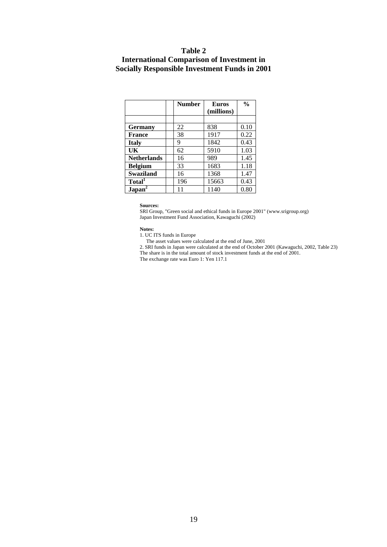### **Table 2 International Comparison of Investment in Socially Responsible Investment Funds in 2001**

|                    | <b>Number</b> | <b>Euros</b><br>(millions) | $\frac{0}{0}$ |
|--------------------|---------------|----------------------------|---------------|
|                    |               |                            |               |
| <b>Germany</b>     | 22            | 838                        | 0.10          |
| <b>France</b>      | 38            | 1917                       | 0.22          |
| <b>Italy</b>       | 9             | 1842                       | 0.43          |
| UK                 | 62            | 5910                       | 1.03          |
| <b>Netherlands</b> | 16            | 989                        | 1.45          |
| <b>Belgium</b>     | 33            | 1683                       | 1.18          |
| <b>Swaziland</b>   | 16            | 1368                       | 1.47          |
| Total <sup>1</sup> | 196           | 15663                      | 0.43          |
| Japan              | 11            | 1140                       | 0.80          |

**Sources:**

 SRI Group, "Green social and ethical funds in Europe 2001" (www.srigroup.org) Japan Investment Fund Association, Kawaguchi (2002)

**Notes:** 

1. UC ITS funds in Europe

The asset values were calculated at the end of June, 2001

2. SRI funds in Japan were calculated at the end of October 2001 (Kawaguchi, 2002, Table 23) The share is in the total amount of stock investment funds at the end of 2001.

The exchange rate was Euro 1: Yen 117.1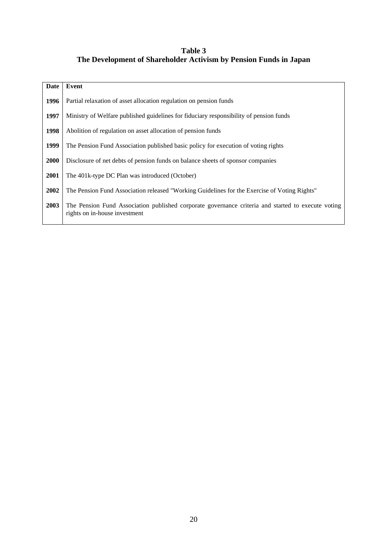## **Table 3 The Development of Shareholder Activism by Pension Funds in Japan**

| Date | Event                                                                                                                               |
|------|-------------------------------------------------------------------------------------------------------------------------------------|
|      |                                                                                                                                     |
| 1996 | Partial relaxation of asset allocation regulation on pension funds                                                                  |
| 1997 | Ministry of Welfare published guidelines for fiduciary responsibility of pension funds                                              |
| 1998 | Abolition of regulation on asset allocation of pension funds                                                                        |
| 1999 | The Pension Fund Association published basic policy for execution of voting rights                                                  |
| 2000 | Disclosure of net debts of pension funds on balance sheets of sponsor companies                                                     |
| 2001 | The 401k-type DC Plan was introduced (October)                                                                                      |
| 2002 | The Pension Fund Association released "Working Guidelines for the Exercise of Voting Rights"                                        |
| 2003 | The Pension Fund Association published corporate governance criteria and started to execute voting<br>rights on in-house investment |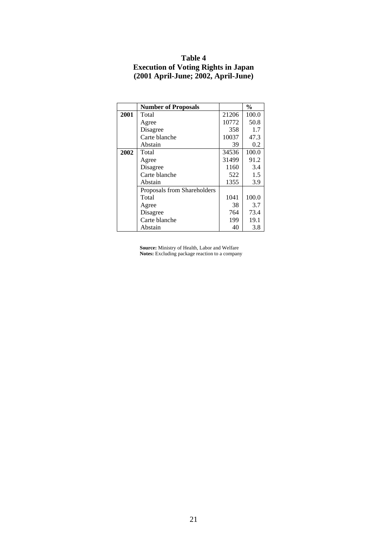|      | <b>Number of Proposals</b>  |       | $\frac{0}{0}$ |
|------|-----------------------------|-------|---------------|
| 2001 | Total                       | 21206 | 100.0         |
|      | Agree                       | 10772 | 50.8          |
|      | Disagree                    | 358   | 1.7           |
|      | Carte blanche               | 10037 | 47.3          |
|      | Abstain                     | 39    | 0.2           |
| 2002 | Total                       | 34536 | 100.0         |
|      | Agree                       | 31499 | 91.2          |
|      | Disagree                    | 1160  | 3.4           |
|      | Carte blanche               | 522   | 1.5           |
|      | Abstain                     | 1355  | 3.9           |
|      | Proposals from Shareholders |       |               |
|      | Total                       | 1041  | 100.0         |
|      | Agree                       | 38    | 3.7           |
|      | Disagree                    | 764   | 73.4          |
|      | Carte blanche               | 199   | 19.1          |
|      | Abstain                     | 40    | 3.8           |

## **Table 4 Execution of Voting Rights in Japan (2001 April-June; 2002, April-June)**

 **Source:** Ministry of Health, Labor and Welfare **Notes:** Excluding package reaction to a company